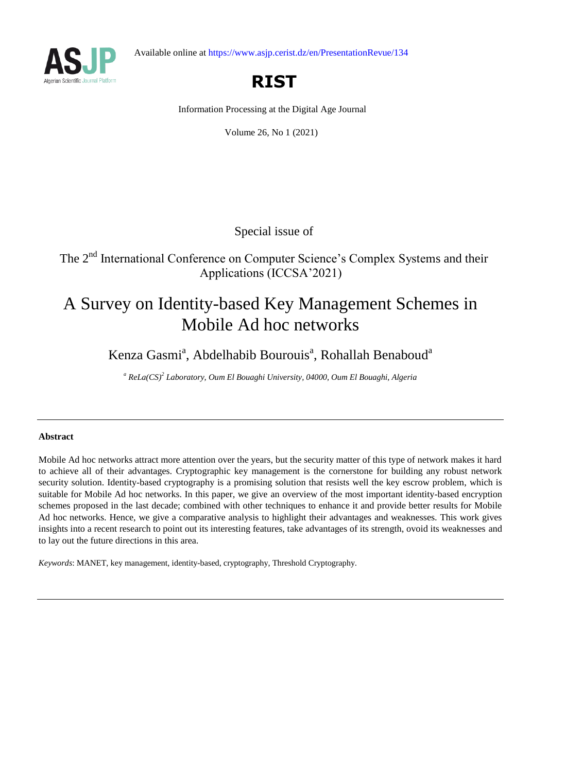



# **RIST**

Information Processing at the Digital Age Journal

Volume 26, No 1 (2021)

Special issue of

The 2<sup>nd</sup> International Conference on Computer Science's Complex Systems and their Applications (ICCSA'2021)

# A Survey on Identity-based Key Management Schemes in Mobile Ad hoc networks

## Kenza Gasmi<sup>a</sup>, Abdelhabib Bourouis<sup>a</sup>, Rohallah Benaboud<sup>a</sup>

*<sup>a</sup> ReLa(CS)<sup>2</sup> Laboratory, Oum El Bouaghi University, 04000, Oum El Bouaghi, Algeria*

## **Abstract**

Mobile Ad hoc networks attract more attention over the years, but the security matter of this type of network makes it hard to achieve all of their advantages. Cryptographic key management is the cornerstone for building any robust network security solution. Identity-based cryptography is a promising solution that resists well the key escrow problem, which is suitable for Mobile Ad hoc networks. In this paper, we give an overview of the most important identity-based encryption schemes proposed in the last decade; combined with other techniques to enhance it and provide better results for Mobile Ad hoc networks. Hence, we give a comparative analysis to highlight their advantages and weaknesses. This work gives insights into a recent research to point out its interesting features, take advantages of its strength, ovoid its weaknesses and to lay out the future directions in this area.

*Keywords*: MANET, key management, identity-based, cryptography, Threshold Cryptography.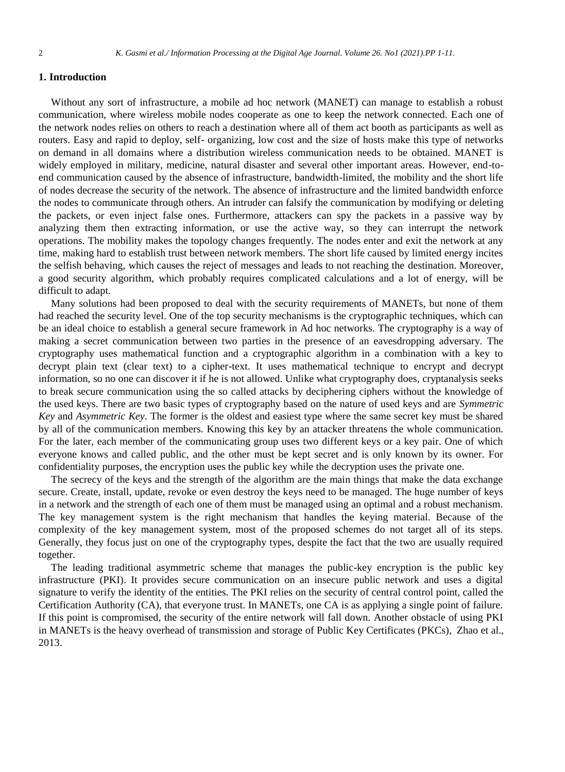## **1. Introduction**

Without any sort of infrastructure, a mobile ad hoc network (MANET) can manage to establish a robust communication, where wireless mobile nodes cooperate as one to keep the network connected. Each one of the network nodes relies on others to reach a destination where all of them act booth as participants as well as routers. Easy and rapid to deploy, self- organizing, low cost and the size of hosts make this type of networks on demand in all domains where a distribution wireless communication needs to be obtained. MANET is widely employed in military, medicine, natural disaster and several other important areas. However, end-toend communication caused by the absence of infrastructure, bandwidth-limited, the mobility and the short life of nodes decrease the security of the network. The absence of infrastructure and the limited bandwidth enforce the nodes to communicate through others. An intruder can falsify the communication by modifying or deleting the packets, or even inject false ones. Furthermore, attackers can spy the packets in a passive way by analyzing them then extracting information, or use the active way, so they can interrupt the network operations. The mobility makes the topology changes frequently. The nodes enter and exit the network at any time, making hard to establish trust between network members. The short life caused by limited energy incites the selfish behaving, which causes the reject of messages and leads to not reaching the destination. Moreover, a good security algorithm, which probably requires complicated calculations and a lot of energy, will be difficult to adapt.

Many solutions had been proposed to deal with the security requirements of MANETs, but none of them had reached the security level. One of the top security mechanisms is the cryptographic techniques, which can be an ideal choice to establish a general secure framework in Ad hoc networks. The cryptography is a way of making a secret communication between two parties in the presence of an eavesdropping adversary. The cryptography uses mathematical function and a cryptographic algorithm in a combination with a key to decrypt plain text (clear text) to a cipher-text. It uses mathematical technique to encrypt and decrypt information, so no one can discover it if he is not allowed. Unlike what cryptography does, cryptanalysis seeks to break secure communication using the so called attacks by deciphering ciphers without the knowledge of the used keys. There are two basic types of cryptography based on the nature of used keys and are *Symmetric Key* and *Asymmetric Key*. The former is the oldest and easiest type where the same secret key must be shared by all of the communication members. Knowing this key by an attacker threatens the whole communication. For the later, each member of the communicating group uses two different keys or a key pair. One of which everyone knows and called public, and the other must be kept secret and is only known by its owner. For confidentiality purposes, the encryption uses the public key while the decryption uses the private one.

The secrecy of the keys and the strength of the algorithm are the main things that make the data exchange secure. Create, install, update, revoke or even destroy the keys need to be managed. The huge number of keys in a network and the strength of each one of them must be managed using an optimal and a robust mechanism. The key management system is the right mechanism that handles the keying material. Because of the complexity of the key management system, most of the proposed schemes do not target all of its steps. Generally, they focus just on one of the cryptography types, despite the fact that the two are usually required together.

The leading traditional asymmetric scheme that manages the public-key encryption is the public key infrastructure (PKI). It provides secure communication on an insecure public network and uses a digital signature to verify the identity of the entities. The PKI relies on the security of central control point, called the Certification Authority (CA), that everyone trust. In MANETs, one CA is as applying a single point of failure. If this point is compromised, the security of the entire network will fall down. Another obstacle of using PKI in MANETs is the heavy overhead of transmission and storage of Public Key Certificates (PKCs), Zhao et al., 2013.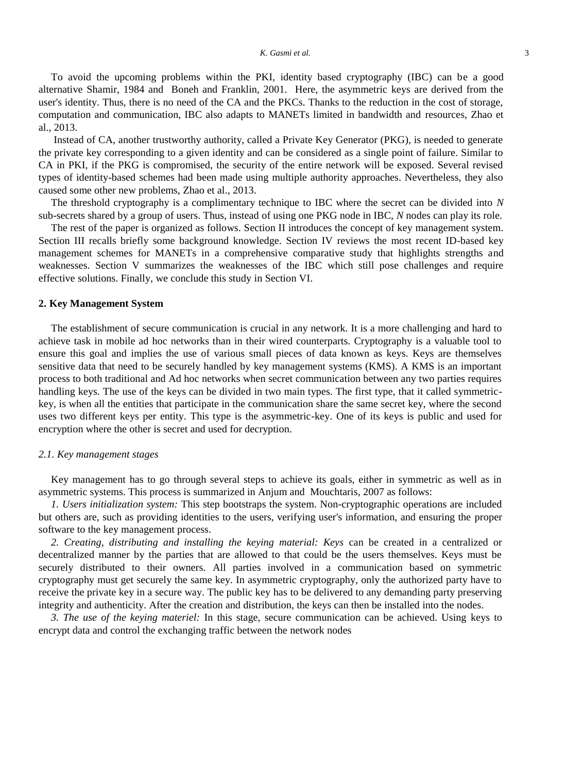#### *K. Gasmi et al.* 3

To avoid the upcoming problems within the PKI, identity based cryptography (IBC) can be a good alternative Shamir, 1984 and Boneh and Franklin, 2001. Here, the asymmetric keys are derived from the user's identity. Thus, there is no need of the CA and the PKCs. Thanks to the reduction in the cost of storage, computation and communication, IBC also adapts to MANETs limited in bandwidth and resources, Zhao et al., 2013.

Instead of CA, another trustworthy authority, called a Private Key Generator (PKG), is needed to generate the private key corresponding to a given identity and can be considered as a single point of failure. Similar to CA in PKI, if the PKG is compromised, the security of the entire network will be exposed. Several revised types of identity-based schemes had been made using multiple authority approaches. Nevertheless, they also caused some other new problems, Zhao et al., 2013.

The threshold cryptography is a complimentary technique to IBC where the secret can be divided into *N* sub-secrets shared by a group of users. Thus, instead of using one PKG node in IBC, *N* nodes can play its role.

The rest of the paper is organized as follows. Section II introduces the concept of key management system. Section III recalls briefly some background knowledge. Section IV reviews the most recent ID-based key management schemes for MANETs in a comprehensive comparative study that highlights strengths and weaknesses. Section V summarizes the weaknesses of the IBC which still pose challenges and require effective solutions. Finally, we conclude this study in Section VI.

## **2. Key Management System**

The establishment of secure communication is crucial in any network. It is a more challenging and hard to achieve task in mobile ad hoc networks than in their wired counterparts. Cryptography is a valuable tool to ensure this goal and implies the use of various small pieces of data known as keys. Keys are themselves sensitive data that need to be securely handled by key management systems (KMS). A KMS is an important process to both traditional and Ad hoc networks when secret communication between any two parties requires handling keys. The use of the keys can be divided in two main types. The first type, that it called symmetrickey, is when all the entities that participate in the communication share the same secret key, where the second uses two different keys per entity. This type is the asymmetric-key. One of its keys is public and used for encryption where the other is secret and used for decryption.

## *2.1. Key management stages*

Key management has to go through several steps to achieve its goals, either in symmetric as well as in asymmetric systems. This process is summarized in Anjum and Mouchtaris, 2007 as follows:

*1. Users initialization system:* This step bootstraps the system. Non-cryptographic operations are included but others are, such as providing identities to the users, verifying user's information, and ensuring the proper software to the key management process.

*2. Creating, distributing and installing the keying material: Keys* can be created in a centralized or decentralized manner by the parties that are allowed to that could be the users themselves. Keys must be securely distributed to their owners. All parties involved in a communication based on symmetric cryptography must get securely the same key. In asymmetric cryptography, only the authorized party have to receive the private key in a secure way. The public key has to be delivered to any demanding party preserving integrity and authenticity. After the creation and distribution, the keys can then be installed into the nodes.

*3. The use of the keying materiel:* In this stage, secure communication can be achieved. Using keys to encrypt data and control the exchanging traffic between the network nodes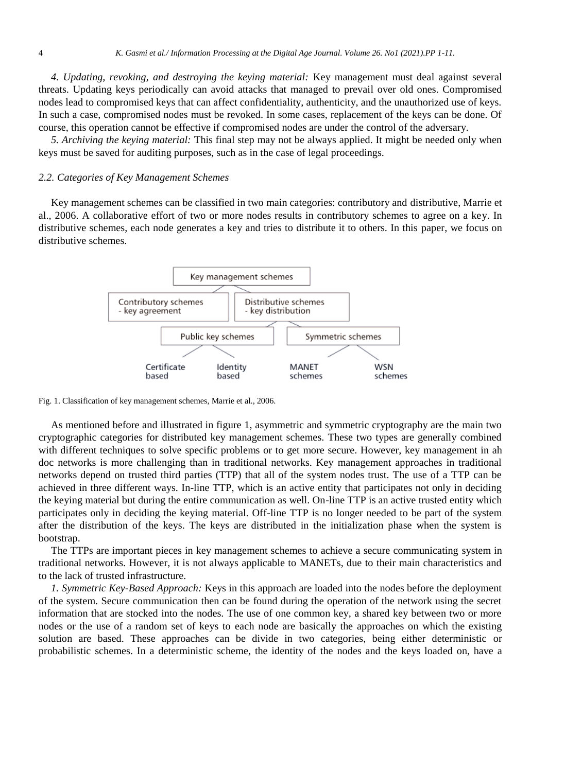*4. Updating, revoking, and destroying the keying material:* Key management must deal against several threats. Updating keys periodically can avoid attacks that managed to prevail over old ones. Compromised nodes lead to compromised keys that can affect confidentiality, authenticity, and the unauthorized use of keys. In such a case, compromised nodes must be revoked. In some cases, replacement of the keys can be done. Of course, this operation cannot be effective if compromised nodes are under the control of the adversary.

*5. Archiving the keying material:* This final step may not be always applied. It might be needed only when keys must be saved for auditing purposes, such as in the case of legal proceedings.

## *2.2. Categories of Key Management Schemes*

Key management schemes can be classified in two main categories: contributory and distributive, Marrie et al., 2006. A collaborative effort of two or more nodes results in contributory schemes to agree on a key. In distributive schemes, each node generates a key and tries to distribute it to others. In this paper, we focus on distributive schemes.



Fig. 1. Classification of key management schemes, Marrie et al., 2006.

As mentioned before and illustrated in figure 1, asymmetric and symmetric cryptography are the main two cryptographic categories for distributed key management schemes. These two types are generally combined with different techniques to solve specific problems or to get more secure. However, key management in ah doc networks is more challenging than in traditional networks. Key management approaches in traditional networks depend on trusted third parties (TTP) that all of the system nodes trust. The use of a TTP can be achieved in three different ways. In-line TTP, which is an active entity that participates not only in deciding the keying material but during the entire communication as well. On-line TTP is an active trusted entity which participates only in deciding the keying material. Off-line TTP is no longer needed to be part of the system after the distribution of the keys. The keys are distributed in the initialization phase when the system is bootstrap.

The TTPs are important pieces in key management schemes to achieve a secure communicating system in traditional networks. However, it is not always applicable to MANETs, due to their main characteristics and to the lack of trusted infrastructure.

*1. Symmetric Key-Based Approach:* Keys in this approach are loaded into the nodes before the deployment of the system. Secure communication then can be found during the operation of the network using the secret information that are stocked into the nodes. The use of one common key, a shared key between two or more nodes or the use of a random set of keys to each node are basically the approaches on which the existing solution are based. These approaches can be divide in two categories, being either deterministic or probabilistic schemes. In a deterministic scheme, the identity of the nodes and the keys loaded on, have a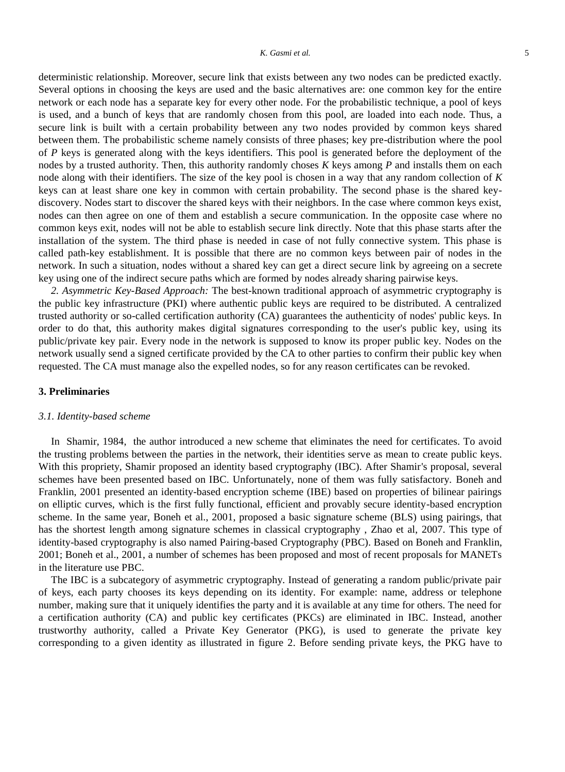#### *K. Gasmi et al.* 5

deterministic relationship. Moreover, secure link that exists between any two nodes can be predicted exactly. Several options in choosing the keys are used and the basic alternatives are: one common key for the entire network or each node has a separate key for every other node. For the probabilistic technique, a pool of keys is used, and a bunch of keys that are randomly chosen from this pool, are loaded into each node. Thus, a secure link is built with a certain probability between any two nodes provided by common keys shared between them. The probabilistic scheme namely consists of three phases; key pre-distribution where the pool of *P* keys is generated along with the keys identifiers. This pool is generated before the deployment of the nodes by a trusted authority. Then, this authority randomly choses *K* keys among *P* and installs them on each node along with their identifiers. The size of the key pool is chosen in a way that any random collection of *K* keys can at least share one key in common with certain probability. The second phase is the shared keydiscovery. Nodes start to discover the shared keys with their neighbors. In the case where common keys exist, nodes can then agree on one of them and establish a secure communication. In the opposite case where no common keys exit, nodes will not be able to establish secure link directly. Note that this phase starts after the installation of the system. The third phase is needed in case of not fully connective system. This phase is called path-key establishment. It is possible that there are no common keys between pair of nodes in the network. In such a situation, nodes without a shared key can get a direct secure link by agreeing on a secrete key using one of the indirect secure paths which are formed by nodes already sharing pairwise keys.

*2. Asymmetric Key-Based Approach:* The best-known traditional approach of asymmetric cryptography is the public key infrastructure (PKI) where authentic public keys are required to be distributed. A centralized trusted authority or so-called certification authority (CA) guarantees the authenticity of nodes' public keys. In order to do that, this authority makes digital signatures corresponding to the user's public key, using its public/private key pair. Every node in the network is supposed to know its proper public key. Nodes on the network usually send a signed certificate provided by the CA to other parties to confirm their public key when requested. The CA must manage also the expelled nodes, so for any reason certificates can be revoked.

## **3. Preliminaries**

## *3.1. Identity-based scheme*

In Shamir, 1984, the author introduced a new scheme that eliminates the need for certificates. To avoid the trusting problems between the parties in the network, their identities serve as mean to create public keys. With this propriety, Shamir proposed an identity based cryptography (IBC). After Shamir's proposal, several schemes have been presented based on IBC. Unfortunately, none of them was fully satisfactory. Boneh and Franklin, 2001 presented an identity-based encryption scheme (IBE) based on properties of bilinear pairings on elliptic curves, which is the first fully functional, efficient and provably secure identity-based encryption scheme. In the same year, Boneh et al., 2001, proposed a basic signature scheme (BLS) using pairings, that has the shortest length among signature schemes in classical cryptography , Zhao et al, 2007. This type of identity-based cryptography is also named Pairing-based Cryptography (PBC). Based on Boneh and Franklin, 2001; Boneh et al., 2001, a number of schemes has been proposed and most of recent proposals for MANETs in the literature use PBC.

The IBC is a subcategory of asymmetric cryptography. Instead of generating a random public/private pair of keys, each party chooses its keys depending on its identity. For example: name, address or telephone number, making sure that it uniquely identifies the party and it is available at any time for others. The need for a certification authority (CA) and public key certificates (PKCs) are eliminated in IBC. Instead, another trustworthy authority, called a Private Key Generator (PKG), is used to generate the private key corresponding to a given identity as illustrated in figure 2. Before sending private keys, the PKG have to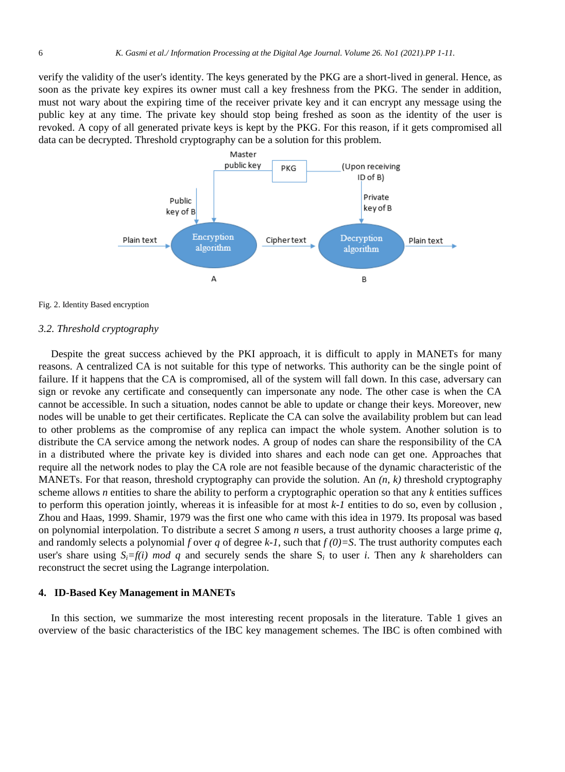verify the validity of the user's identity. The keys generated by the PKG are a short-lived in general. Hence, as soon as the private key expires its owner must call a key freshness from the PKG. The sender in addition, must not wary about the expiring time of the receiver private key and it can encrypt any message using the public key at any time. The private key should stop being freshed as soon as the identity of the user is revoked. A copy of all generated private keys is kept by the PKG. For this reason, if it gets compromised all data can be decrypted. Threshold cryptography can be a solution for this problem.





#### *3.2. Threshold cryptography*

Despite the great success achieved by the PKI approach, it is difficult to apply in MANETs for many reasons. A centralized CA is not suitable for this type of networks. This authority can be the single point of failure. If it happens that the CA is compromised, all of the system will fall down. In this case, adversary can sign or revoke any certificate and consequently can impersonate any node. The other case is when the CA cannot be accessible. In such a situation, nodes cannot be able to update or change their keys. Moreover, new nodes will be unable to get their certificates. Replicate the CA can solve the availability problem but can lead to other problems as the compromise of any replica can impact the whole system. Another solution is to distribute the CA service among the network nodes. A group of nodes can share the responsibility of the CA in a distributed where the private key is divided into shares and each node can get one. Approaches that require all the network nodes to play the CA role are not feasible because of the dynamic characteristic of the MANETs. For that reason, threshold cryptography can provide the solution. An *(n, k)* threshold cryptography scheme allows *n* entities to share the ability to perform a cryptographic operation so that any *k* entities suffices to perform this operation jointly, whereas it is infeasible for at most *k-1* entities to do so, even by collusion , Zhou and Haas, 1999. Shamir, 1979 was the first one who came with this idea in 1979. Its proposal was based on polynomial interpolation. To distribute a secret *S* among *n* users, a trust authority chooses a large prime *q*, and randomly selects a polynomial *f* over *q* of degree  $k-1$ , such that  $f(0)=S$ . The trust authority computes each user's share using  $S_i = f(i) \mod q$  and securely sends the share  $S_i$  to user *i*. Then any *k* shareholders can reconstruct the secret using the Lagrange interpolation.

### **4. ID-Based Key Management in MANETs**

In this section, we summarize the most interesting recent proposals in the literature. Table 1 gives an overview of the basic characteristics of the IBC key management schemes. The IBC is often combined with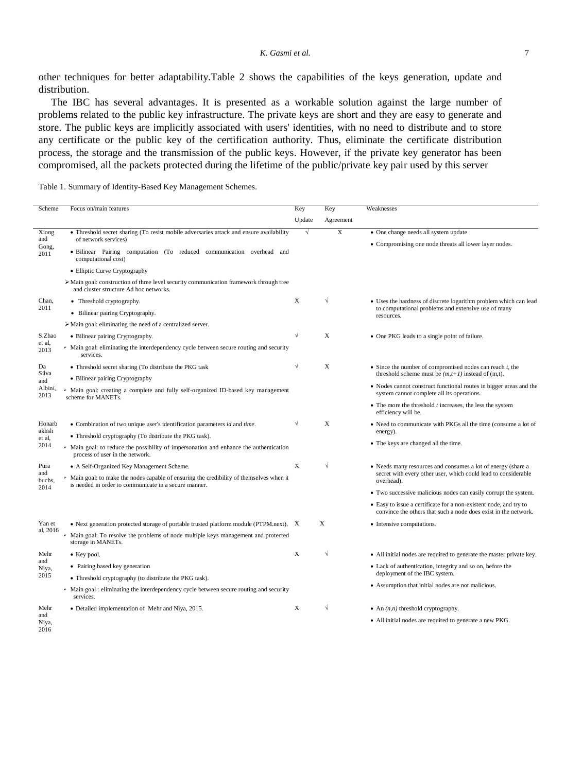other techniques for better adaptability.Table 2 shows the capabilities of the keys generation, update and distribution.

The IBC has several advantages. It is presented as a workable solution against the large number of problems related to the public key infrastructure. The private keys are short and they are easy to generate and store. The public keys are implicitly associated with users' identities, with no need to distribute and to store any certificate or the public key of the certification authority. Thus, eliminate the certificate distribution process, the storage and the transmission of the public keys. However, if the private key generator has been compromised, all the packets protected during the lifetime of the public/private key pair used by this server

Table 1. Summary of Identity-Based Key Management Schemes.

| Scheme                          | Focus on/main features                                                                                                                            | Key        | Key        | Weaknesses                                                                                                                                   |
|---------------------------------|---------------------------------------------------------------------------------------------------------------------------------------------------|------------|------------|----------------------------------------------------------------------------------------------------------------------------------------------|
|                                 |                                                                                                                                                   | Update     | Agreement  |                                                                                                                                              |
| Xiong<br>and<br>Gong,<br>2011   | • Threshold secret sharing (To resist mobile adversaries attack and ensure availability                                                           | $\sqrt{ }$ | X          | • One change needs all system update                                                                                                         |
|                                 | of network services)<br>· Bilinear Pairing computation (To reduced communication overhead and<br>computational cost)                              |            |            | • Compromising one node threats all lower layer nodes.                                                                                       |
|                                 | • Elliptic Curve Cryptography                                                                                                                     |            |            |                                                                                                                                              |
|                                 | > Main goal: construction of three level security communication framework through tree<br>and cluster structure Ad hoc networks.                  |            |            |                                                                                                                                              |
| Chan,<br>2011                   | • Threshold cryptography.                                                                                                                         | X          | $\sqrt{ }$ | • Uses the hardness of discrete logarithm problem which can lead<br>to computational problems and extensive use of many<br>resources.        |
|                                 | • Bilinear pairing Cryptography.                                                                                                                  |            |            |                                                                                                                                              |
|                                 | $\triangleright$ Main goal: eliminating the need of a centralized server.                                                                         |            |            |                                                                                                                                              |
| S.Zhao                          | • Bilinear pairing Cryptography.                                                                                                                  |            | X          | • One PKG leads to a single point of failure.                                                                                                |
| et al.<br>2013                  | > Main goal: eliminating the interdependency cycle between secure routing and security<br>services.                                               |            |            |                                                                                                                                              |
| Da                              | • Threshold secret sharing (To distribute the PKG task                                                                                            | $\sqrt{}$  | X          | $\bullet$ Since the number of compromised nodes can reach $t$ , the                                                                          |
| Silva<br>and<br>Albini,<br>2013 | • Bilinear pairing Cryptography                                                                                                                   |            |            | threshold scheme must be $(m,t+1)$ instead of $(m,t)$ .                                                                                      |
|                                 | > Main goal: creating a complete and fully self-organized ID-based key management<br>scheme for MANETs.                                           |            |            | • Nodes cannot construct functional routes in bigger areas and the<br>system cannot complete all its operations.                             |
|                                 |                                                                                                                                                   |            |            | $\bullet$ The more the threshold $t$ increases, the less the system<br>efficiency will be.                                                   |
| Honarb                          | • Combination of two unique user's identification parameters id and time.                                                                         |            | X          | • Need to communicate with PKGs all the time (consume a lot of                                                                               |
| akhsh<br>et al.                 | • Threshold cryptography (To distribute the PKG task).                                                                                            |            |            | energy).                                                                                                                                     |
| 2014                            | > Main goal: to reduce the possibility of impersonation and enhance the authentication<br>process of user in the network.                         |            |            | • The keys are changed all the time.                                                                                                         |
| Pura                            | • A Self-Organized Key Management Scheme.                                                                                                         | X          | $\sqrt{}$  | • Needs many resources and consumes a lot of energy (share a<br>secret with every other user, which could lead to considerable<br>overhead). |
| and<br>buchs,<br>2014           | > Main goal: to make the nodes capable of ensuring the credibility of themselves when it<br>is needed in order to communicate in a secure manner. |            |            |                                                                                                                                              |
|                                 |                                                                                                                                                   |            |            | • Two successive malicious nodes can easily corrupt the system.                                                                              |
|                                 |                                                                                                                                                   |            |            | • Easy to issue a certificate for a non-existent node, and try to<br>convince the others that such a node does exist in the network.         |
| Yan et                          | • Next generation protected storage of portable trusted platform module (PTPM.next). X                                                            |            | X          | • Intensive computations.                                                                                                                    |
| al, 2016                        | > Main goal: To resolve the problems of node multiple keys management and protected<br>storage in MANETs.                                         |            |            |                                                                                                                                              |
| Mehr<br>and<br>Niya,<br>2015    | • Key pool.                                                                                                                                       | X          | $\sqrt{}$  | • All initial nodes are required to generate the master private key.                                                                         |
|                                 | • Pairing based key generation                                                                                                                    |            |            | • Lack of authentication, integrity and so on, before the                                                                                    |
|                                 | • Threshold cryptography (to distribute the PKG task).                                                                                            |            |            | deployment of the IBC system.                                                                                                                |
|                                 | > Main goal : eliminating the interdependency cycle between secure routing and security<br>services.                                              |            |            | • Assumption that initial nodes are not malicious.                                                                                           |
| Mehr                            | • Detailed implementation of Mehr and Niya, 2015.                                                                                                 | X          | $\sqrt{}$  | • An $(n, n)$ threshold cryptography.                                                                                                        |
| and<br>Niya,<br>2016            |                                                                                                                                                   |            |            | • All initial nodes are required to generate a new PKG.                                                                                      |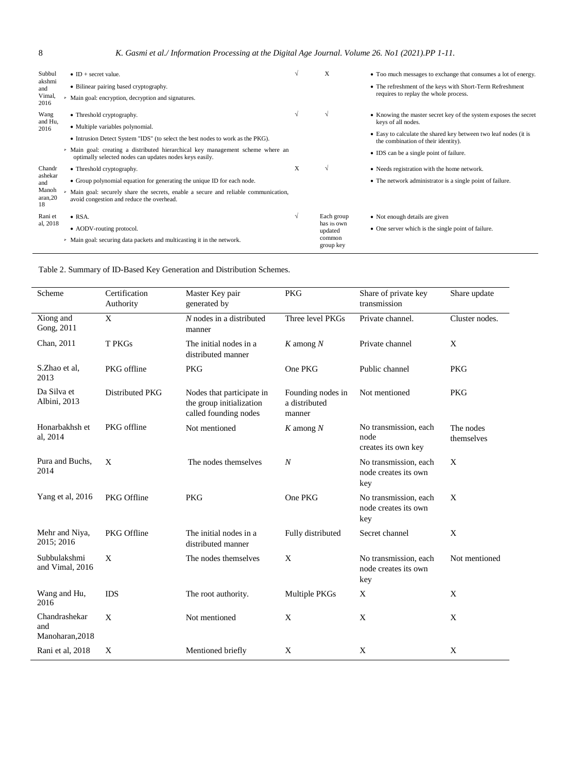| Subbul<br>akshmi<br>and<br>Vimal,<br>2016          | • ID + secret value.<br>• Bilinear pairing based cryptography.<br>> Main goal: encryption, decryption and signatures.                                                                                                                                                                         | N | X                                                           | • Too much messages to exchange that consumes a lot of energy.<br>• The refreshment of the keys with Short-Term Refreshment<br>requires to replay the whole process.                                                                         |
|----------------------------------------------------|-----------------------------------------------------------------------------------------------------------------------------------------------------------------------------------------------------------------------------------------------------------------------------------------------|---|-------------------------------------------------------------|----------------------------------------------------------------------------------------------------------------------------------------------------------------------------------------------------------------------------------------------|
| Wang<br>and Hu,<br>2016                            | • Threshold cryptography.<br>• Multiple variables polynomial.<br>• Intrusion Detect System "IDS" (to select the best nodes to work as the PKG).<br>> Main goal: creating a distributed hierarchical key management scheme where an<br>optimally selected nodes can updates nodes keys easily. | V | $\sqrt{ }$                                                  | • Knowing the master secret key of the system exposes the secret<br>keys of all nodes.<br>• Easy to calculate the shared key between two leaf nodes (it is<br>the combination of their identity).<br>• IDS can be a single point of failure. |
| Chandr<br>ashekar<br>and<br>Manoh<br>aran,20<br>18 | • Threshold cryptography.<br>• Group polynomial equation for generating the unique ID for each node.<br>> Main goal: securely share the secrets, enable a secure and reliable communication,<br>avoid congestion and reduce the overhead.                                                     | X | $\sqrt{ }$                                                  | • Needs registration with the home network.<br>• The network administrator is a single point of failure.                                                                                                                                     |
| Rani et<br>al, 2018                                | $\bullet$ RSA.<br>• AODV-routing protocol.<br>• Main goal: securing data packets and multicasting it in the network.                                                                                                                                                                          | V | Each group<br>has its own<br>updated<br>common<br>group key | • Not enough details are given<br>• One server which is the single point of failure.                                                                                                                                                         |

| Table 2. Summary of ID-Based Key Generation and Distribution Schemes. |
|-----------------------------------------------------------------------|
|-----------------------------------------------------------------------|

| Scheme                                  | Certification<br>Authority                                                                                                                        | Master Key pair<br>generated by              | <b>PKG</b>        | Share of private key<br>transmission                 | Share update            |
|-----------------------------------------|---------------------------------------------------------------------------------------------------------------------------------------------------|----------------------------------------------|-------------------|------------------------------------------------------|-------------------------|
| Xiong and<br>Gong, 2011                 | $\mathbf{X}$                                                                                                                                      | $N$ nodes in a distributed<br>manner         | Three level PKGs  | Private channel.                                     | Cluster nodes.          |
| Chan, 2011                              | <b>T PKGs</b>                                                                                                                                     | The initial nodes in a<br>distributed manner | $K$ among $N$     | Private channel                                      | X                       |
| S.Zhao et al.<br>2013                   | PKG offline                                                                                                                                       | <b>PKG</b>                                   | One PKG           | Public channel                                       | <b>PKG</b>              |
| Da Silva et<br>Albini, 2013             | Distributed PKG<br>Founding nodes in<br>Nodes that participate in<br>the group initialization<br>a distributed<br>called founding nodes<br>manner |                                              | Not mentioned     | <b>PKG</b>                                           |                         |
| Honarbakhsh et<br>al, 2014              | PKG offline<br>Not mentioned<br>K among $N$                                                                                                       |                                              |                   | No transmission, each<br>node<br>creates its own key | The nodes<br>themselves |
| Pura and Buchs,<br>2014                 | X                                                                                                                                                 | The nodes themselves                         | $\boldsymbol{N}$  | No transmission, each<br>node creates its own<br>key | X                       |
| Yang et al, 2016                        | PKG Offline                                                                                                                                       | <b>PKG</b>                                   | One PKG           | No transmission, each<br>node creates its own<br>key | X                       |
| Mehr and Niya,<br>2015; 2016            | PKG Offline                                                                                                                                       | The initial nodes in a<br>distributed manner | Fully distributed | Secret channel                                       | X                       |
| Subbulakshmi<br>and Vimal, 2016         | X                                                                                                                                                 | The nodes themselves                         | X                 | No transmission, each<br>node creates its own<br>key | Not mentioned           |
| Wang and Hu,<br>2016                    | <b>IDS</b>                                                                                                                                        | The root authority.                          | Multiple PKGs     | X                                                    | X                       |
| Chandrashekar<br>and<br>Manoharan, 2018 | X                                                                                                                                                 | Not mentioned                                | X                 | X                                                    | X                       |
| Rani et al, 2018                        | X                                                                                                                                                 | Mentioned briefly                            | X                 | X                                                    | X                       |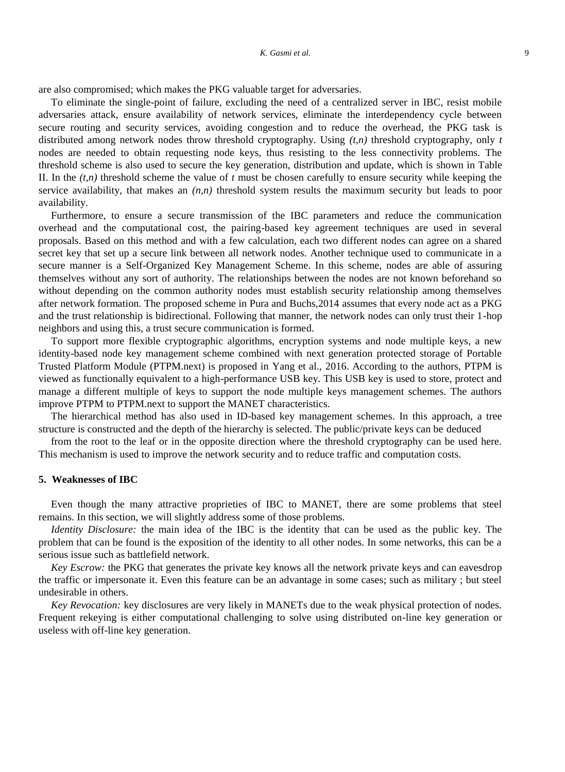are also compromised; which makes the PKG valuable target for adversaries.

To eliminate the single-point of failure, excluding the need of a centralized server in IBC, resist mobile adversaries attack, ensure availability of network services, eliminate the interdependency cycle between secure routing and security services, avoiding congestion and to reduce the overhead, the PKG task is distributed among network nodes throw threshold cryptography. Using *(t,n)* threshold cryptography, only *t* nodes are needed to obtain requesting node keys, thus resisting to the less connectivity problems. The threshold scheme is also used to secure the key generation, distribution and update, which is shown in Table II. In the  $(t,n)$  threshold scheme the value of  $t$  must be chosen carefully to ensure security while keeping the service availability, that makes an *(n,n)* threshold system results the maximum security but leads to poor availability.

Furthermore, to ensure a secure transmission of the IBC parameters and reduce the communication overhead and the computational cost, the pairing-based key agreement techniques are used in several proposals. Based on this method and with a few calculation, each two different nodes can agree on a shared secret key that set up a secure link between all network nodes. Another technique used to communicate in a secure manner is a Self-Organized Key Management Scheme. In this scheme, nodes are able of assuring themselves without any sort of authority. The relationships between the nodes are not known beforehand so without depending on the common authority nodes must establish security relationship among themselves after network formation. The proposed scheme in Pura and Buchs,2014 assumes that every node act as a PKG and the trust relationship is bidirectional. Following that manner, the network nodes can only trust their 1-hop neighbors and using this, a trust secure communication is formed.

To support more flexible cryptographic algorithms, encryption systems and node multiple keys, a new identity-based node key management scheme combined with next generation protected storage of Portable Trusted Platform Module (PTPM.next) is proposed in Yang et al., 2016. According to the authors, PTPM is viewed as functionally equivalent to a high-performance USB key. This USB key is used to store, protect and manage a different multiple of keys to support the node multiple keys management schemes. The authors improve PTPM to PTPM.next to support the MANET characteristics.

The hierarchical method has also used in ID-based key management schemes. In this approach, a tree structure is constructed and the depth of the hierarchy is selected. The public/private keys can be deduced

from the root to the leaf or in the opposite direction where the threshold cryptography can be used here. This mechanism is used to improve the network security and to reduce traffic and computation costs.

### **5. Weaknesses of IBC**

Even though the many attractive proprieties of IBC to MANET, there are some problems that steel remains. In this section, we will slightly address some of those problems.

*Identity Disclosure:* the main idea of the IBC is the identity that can be used as the public key. The problem that can be found is the exposition of the identity to all other nodes. In some networks, this can be a serious issue such as battlefield network.

*Key Escrow:* the PKG that generates the private key knows all the network private keys and can eavesdrop the traffic or impersonate it. Even this feature can be an advantage in some cases; such as military ; but steel undesirable in others.

*Key Revocation:* key disclosures are very likely in MANETs due to the weak physical protection of nodes. Frequent rekeying is either computational challenging to solve using distributed on-line key generation or useless with off-line key generation.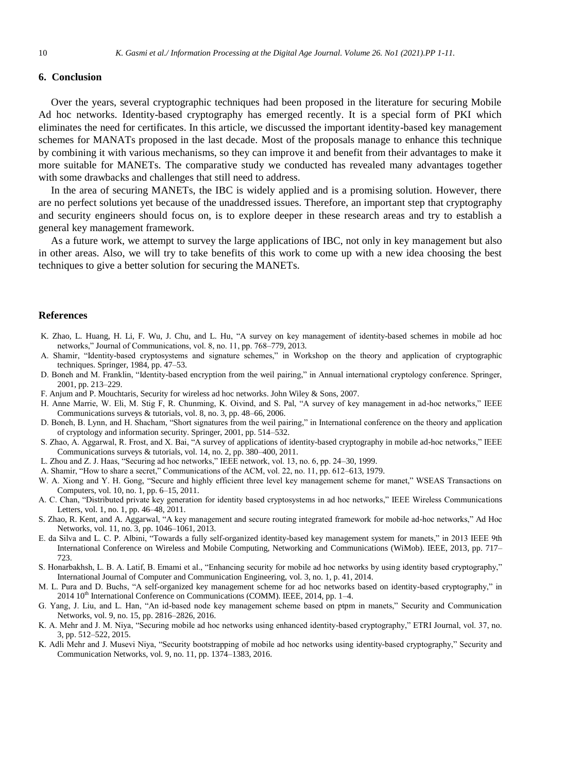## **6. Conclusion**

Over the years, several cryptographic techniques had been proposed in the literature for securing Mobile Ad hoc networks. Identity-based cryptography has emerged recently. It is a special form of PKI which eliminates the need for certificates. In this article, we discussed the important identity-based key management schemes for MANATs proposed in the last decade. Most of the proposals manage to enhance this technique by combining it with various mechanisms, so they can improve it and benefit from their advantages to make it more suitable for MANETs. The comparative study we conducted has revealed many advantages together with some drawbacks and challenges that still need to address.

In the area of securing MANETs, the IBC is widely applied and is a promising solution. However, there are no perfect solutions yet because of the unaddressed issues. Therefore, an important step that cryptography and security engineers should focus on, is to explore deeper in these research areas and try to establish a general key management framework.

As a future work, we attempt to survey the large applications of IBC, not only in key management but also in other areas. Also, we will try to take benefits of this work to come up with a new idea choosing the best techniques to give a better solution for securing the MANETs.

#### **References**

- K. Zhao, L. Huang, H. Li, F. Wu, J. Chu, and L. Hu, "A survey on key management of identity-based schemes in mobile ad hoc networks," Journal of Communications, vol. 8, no. 11, pp. 768–779, 2013.
- A. Shamir, "Identity-based cryptosystems and signature schemes," in Workshop on the theory and application of cryptographic techniques. Springer, 1984, pp. 47–53.
- D. Boneh and M. Franklin, "Identity-based encryption from the weil pairing," in Annual international cryptology conference. Springer, 2001, pp. 213–229.
- F. Anjum and P. Mouchtaris, Security for wireless ad hoc networks. John Wiley & Sons, 2007.
- H. Anne Marrie, W. Eli, M. Stig F, R. Chunming, K. Oivind, and S. Pal, "A survey of key management in ad-hoc networks," IEEE Communications surveys & tutorials, vol. 8, no. 3, pp. 48–66, 2006.
- D. Boneh, B. Lynn, and H. Shacham, "Short signatures from the weil pairing," in International conference on the theory and application of cryptology and information security. Springer, 2001, pp. 514–532.
- S. Zhao, A. Aggarwal, R. Frost, and X. Bai, "A survey of applications of identity-based cryptography in mobile ad-hoc networks," IEEE Communications surveys & tutorials, vol. 14, no. 2, pp. 380–400, 2011.
- L. Zhou and Z. J. Haas, "Securing ad hoc networks," IEEE network, vol. 13, no. 6, pp. 24–30, 1999.
- A. Shamir, "How to share a secret," Communications of the ACM, vol. 22, no. 11, pp. 612–613, 1979.
- W. A. Xiong and Y. H. Gong, "Secure and highly efficient three level key management scheme for manet," WSEAS Transactions on Computers, vol. 10, no. 1, pp. 6–15, 2011.
- A. C. Chan, "Distributed private key generation for identity based cryptosystems in ad hoc networks," IEEE Wireless Communications Letters, vol. 1, no. 1, pp. 46–48, 2011.
- S. Zhao, R. Kent, and A. Aggarwal, "A key management and secure routing integrated framework for mobile ad-hoc networks," Ad Hoc Networks, vol. 11, no. 3, pp. 1046–1061, 2013.
- E. da Silva and L. C. P. Albini, "Towards a fully self-organized identity-based key management system for manets," in 2013 IEEE 9th International Conference on Wireless and Mobile Computing, Networking and Communications (WiMob). IEEE, 2013, pp. 717– 723.
- S. Honarbakhsh, L. B. A. Latif, B. Emami et al., "Enhancing security for mobile ad hoc networks by using identity based cryptography," International Journal of Computer and Communication Engineering, vol. 3, no. 1, p. 41, 2014.
- M. L. Pura and D. Buchs, "A self-organized key management scheme for ad hoc networks based on identity-based cryptography," in  $2014 \, 10^{th}$  International Conference on Communications (COMM). IEEE, 2014, pp. 1–4.
- G. Yang, J. Liu, and L. Han, "An id-based node key management scheme based on ptpm in manets," Security and Communication Networks, vol. 9, no. 15, pp. 2816–2826, 2016.
- K. A. Mehr and J. M. Niya, "Securing mobile ad hoc networks using enhanced identity-based cryptography," ETRI Journal, vol. 37, no. 3, pp. 512–522, 2015.
- K. Adli Mehr and J. Musevi Niya, "Security bootstrapping of mobile ad hoc networks using identity-based cryptography," Security and Communication Networks, vol. 9, no. 11, pp. 1374–1383, 2016.